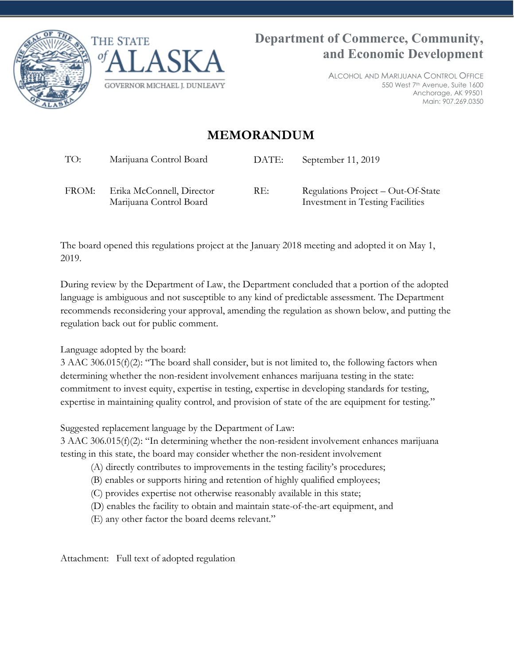



ALCOHOL AND MARIJUANA CONTROL OFFICE 550 West 7th Avenue, Suite 1600 Anchorage, AK 99501 Main: 907.269.0350

## **MEMORANDUM**

TO: Marijuana Control Board DATE: September 11, 2019

FROM: Erika McConnell, Director Marijuana Control Board

RE: Regulations Project – Out-Of-State Investment in Testing Facilities

The board opened this regulations project at the January 2018 meeting and adopted it on May 1, 2019.

During review by the Department of Law, the Department concluded that a portion of the adopted language is ambiguous and not susceptible to any kind of predictable assessment. The Department recommends reconsidering your approval, amending the regulation as shown below, and putting the regulation back out for public comment.

Language adopted by the board:

3 AAC 306.015(f)(2): "The board shall consider, but is not limited to, the following factors when determining whether the non-resident involvement enhances marijuana testing in the state: commitment to invest equity, expertise in testing, expertise in developing standards for testing, expertise in maintaining quality control, and provision of state of the are equipment for testing."

Suggested replacement language by the Department of Law:

3 AAC 306.015(f)(2): "In determining whether the non-resident involvement enhances marijuana testing in this state, the board may consider whether the non-resident involvement

- (A) directly contributes to improvements in the testing facility's procedures;
- (B) enables or supports hiring and retention of highly qualified employees;
- (C) provides expertise not otherwise reasonably available in this state;
- (D) enables the facility to obtain and maintain state-of-the-art equipment, and
- (E) any other factor the board deems relevant."

Attachment: Full text of adopted regulation